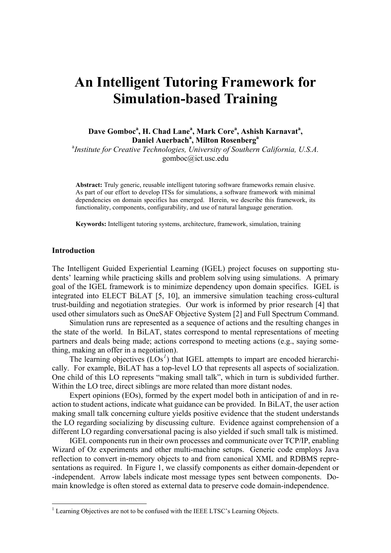# **An Intelligent Tutoring Framework for Simulation-based Training**

Dave Gomboc<sup>a</sup>, H. Chad Lane<sup>a</sup>, Mark Core<sup>a</sup>, Ashish Karnavat<sup>a</sup>, **Daniel Auerbach<sup>a</sup>, Milton Rosenberg<sup>a</sup>** 

<sup>a</sup> Institute for Creative Technologies, University of Southern California, U.S.A. gomboc@ict.usc.edu

**Abstract:** Truly generic, reusable intelligent tutoring software frameworks remain elusive. As part of our effort to develop ITSs for simulations, a software framework with minimal dependencies on domain specifics has emerged. Herein, we describe this framework, its functionality, components, configurability, and use of natural language generation.

**Keywords:** Intelligent tutoring systems, architecture, framework, simulation, training

#### **Introduction**

 $\overline{a}$ 

The Intelligent Guided Experiential Learning (IGEL) project focuses on supporting students' learning while practicing skills and problem solving using simulations. A primary goal of the IGEL framework is to minimize dependency upon domain specifics. IGEL is integrated into ELECT BiLAT [5, 10], an immersive simulation teaching cross-cultural trust-building and negotiation strategies. Our work is informed by prior research [4] that used other simulators such as OneSAF Objective System [2] and Full Spectrum Command.

Simulation runs are represented as a sequence of actions and the resulting changes in the state of the world. In BiLAT, states correspond to mental representations of meeting partners and deals being made; actions correspond to meeting actions (e.g., saying something, making an offer in a negotiation).

The learning objectives  $(LOs<sup>1</sup>)$  $(LOs<sup>1</sup>)$  $(LOs<sup>1</sup>)$  that IGEL attempts to impart are encoded hierarchically. For example, BiLAT has a top-level LO that represents all aspects of socialization. One child of this LO represents "making small talk", which in turn is subdivided further. Within the LO tree, direct siblings are more related than more distant nodes.

Expert opinions (EOs), formed by the expert model both in anticipation of and in reaction to student actions, indicate what guidance can be provided. In BiLAT, the user action making small talk concerning culture yields positive evidence that the student understands the LO regarding socializing by discussing culture. Evidence against comprehension of a different LO regarding conversational pacing is also yielded if such small talk is mistimed.

IGEL components run in their own processes and communicate over TCP/IP, enabling Wizard of Oz experiments and other multi-machine setups. Generic code employs Java reflection to convert in-memory objects to and from canonical XML and RDBMS representations as required. In Figure 1, we classify components as either domain-dependent or -independent. Arrow labels indicate most message types sent between components. Domain knowledge is often stored as external data to preserve code domain-independence.

<span id="page-0-0"></span> $<sup>1</sup>$  Learning Objectives are not to be confused with the IEEE LTSC's Learning Objects.</sup>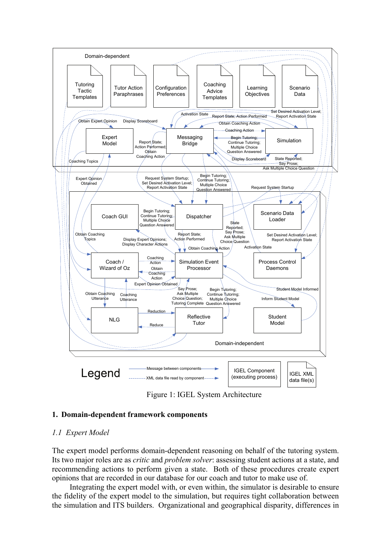

Figure 1: IGEL System Architecture

# **1. Domain-dependent framework components**

# *1.1 Expert Model*

The expert model performs domain-dependent reasoning on behalf of the tutoring system. Its two major roles are as *critic* and *problem solver*: assessing student actions at a state, and recommending actions to perform given a state. Both of these procedures create expert opinions that are recorded in our database for our coach and tutor to make use of.

Integrating the expert model with, or even within, the simulator is desirable to ensure the fidelity of the expert model to the simulation, but requires tight collaboration between the simulation and ITS builders. Organizational and geographical disparity, differences in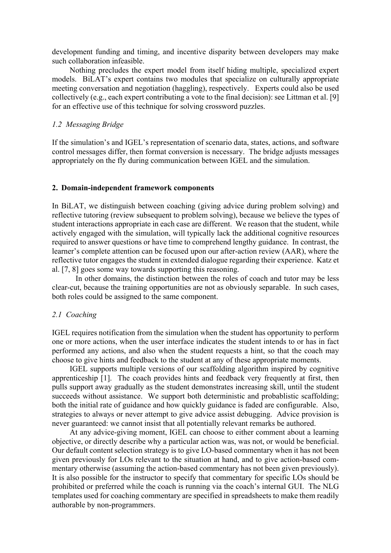development funding and timing, and incentive disparity between developers may make such collaboration infeasible.

Nothing precludes the expert model from itself hiding multiple, specialized expert models. BiLAT's expert contains two modules that specialize on culturally appropriate meeting conversation and negotiation (haggling), respectively. Experts could also be used collectively (e.g., each expert contributing a vote to the final decision): see Littman et al. [9] for an effective use of this technique for solving crossword puzzles.

## *1.2 Messaging Bridge*

If the simulation's and IGEL's representation of scenario data, states, actions, and software control messages differ, then format conversion is necessary. The bridge adjusts messages appropriately on the fly during communication between IGEL and the simulation.

## **2. Domain-independent framework components**

In BiLAT, we distinguish between coaching (giving advice during problem solving) and reflective tutoring (review subsequent to problem solving), because we believe the types of student interactions appropriate in each case are different. We reason that the student, while actively engaged with the simulation, will typically lack the additional cognitive resources required to answer questions or have time to comprehend lengthy guidance. In contrast, the learner's complete attention can be focused upon our after-action review (AAR), where the reflective tutor engages the student in extended dialogue regarding their experience. Katz et al. [7, 8] goes some way towards supporting this reasoning.

 In other domains, the distinction between the roles of coach and tutor may be less clear-cut, because the training opportunities are not as obviously separable. In such cases, both roles could be assigned to the same component.

# *2.1 Coaching*

IGEL requires notification from the simulation when the student has opportunity to perform one or more actions, when the user interface indicates the student intends to or has in fact performed any actions, and also when the student requests a hint, so that the coach may choose to give hints and feedback to the student at any of these appropriate moments.

IGEL supports multiple versions of our scaffolding algorithm inspired by cognitive apprenticeship [1]. The coach provides hints and feedback very frequently at first, then pulls support away gradually as the student demonstrates increasing skill, until the student succeeds without assistance. We support both deterministic and probablistic scaffolding; both the initial rate of guidance and how quickly guidance is faded are configurable. Also, strategies to always or never attempt to give advice assist debugging. Advice provision is never guaranteed: we cannot insist that all potentially relevant remarks be authored.

At any advice-giving moment, IGEL can choose to either comment about a learning objective, or directly describe why a particular action was, was not, or would be beneficial. Our default content selection strategy is to give LO-based commentary when it has not been given previously for LOs relevant to the situation at hand, and to give action-based commentary otherwise (assuming the action-based commentary has not been given previously). It is also possible for the instructor to specify that commentary for specific LOs should be prohibited or preferred while the coach is running via the coach's internal GUI. The NLG templates used for coaching commentary are specified in spreadsheets to make them readily authorable by non-programmers.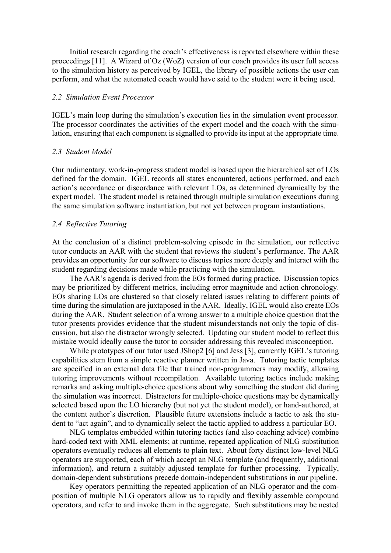Initial research regarding the coach's effectiveness is reported elsewhere within these proceedings [11]. A Wizard of Oz (WoZ) version of our coach provides its user full access to the simulation history as perceived by IGEL, the library of possible actions the user can perform, and what the automated coach would have said to the student were it being used.

## *2.2 Simulation Event Processor*

IGEL's main loop during the simulation's execution lies in the simulation event processor. The processor coordinates the activities of the expert model and the coach with the simulation, ensuring that each component is signalled to provide its input at the appropriate time.

## *2.3 Student Model*

Our rudimentary, work-in-progress student model is based upon the hierarchical set of LOs defined for the domain. IGEL records all states encountered, actions performed, and each action's accordance or discordance with relevant LOs, as determined dynamically by the expert model. The student model is retained through multiple simulation executions during the same simulation software instantiation, but not yet between program instantiations.

#### *2.4 Reflective Tutoring*

At the conclusion of a distinct problem-solving episode in the simulation, our reflective tutor conducts an AAR with the student that reviews the student's performance. The AAR provides an opportunity for our software to discuss topics more deeply and interact with the student regarding decisions made while practicing with the simulation.

The AAR's agenda is derived from the EOs formed during practice. Discussion topics may be prioritized by different metrics, including error magnitude and action chronology. EOs sharing LOs are clustered so that closely related issues relating to different points of time during the simulation are juxtaposed in the AAR. Ideally, IGEL would also create EOs during the AAR. Student selection of a wrong answer to a multiple choice question that the tutor presents provides evidence that the student misunderstands not only the topic of discussion, but also the distractor wrongly selected. Updating our student model to reflect this mistake would ideally cause the tutor to consider addressing this revealed misconception.

While prototypes of our tutor used JShop2 [6] and Jess [3], currently IGEL's tutoring capabilities stem from a simple reactive planner written in Java. Tutoring tactic templates are specified in an external data file that trained non-programmers may modify, allowing tutoring improvements without recompilation. Available tutoring tactics include making remarks and asking multiple-choice questions about why something the student did during the simulation was incorrect. Distractors for multiple-choice questions may be dynamically selected based upon the LO hierarchy (but not yet the student model), or hand-authored, at the content author's discretion. Plausible future extensions include a tactic to ask the student to "act again", and to dynamically select the tactic applied to address a particular EO.

NLG templates embedded within tutoring tactics (and also coaching advice) combine hard-coded text with XML elements; at runtime, repeated application of NLG substitution operators eventually reduces all elements to plain text. About forty distinct low-level NLG operators are supported, each of which accept an NLG template (and frequently, additional information), and return a suitably adjusted template for further processing. Typically, domain-dependent substitutions precede domain-independent substitutions in our pipeline.

Key operators permitting the repeated application of an NLG operator and the composition of multiple NLG operators allow us to rapidly and flexibly assemble compound operators, and refer to and invoke them in the aggregate. Such substitutions may be nested